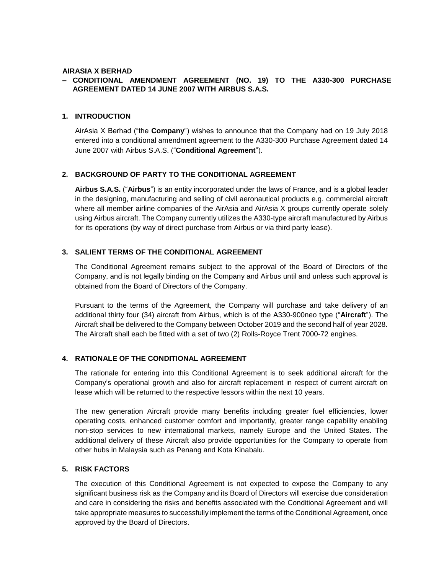#### **AIRASIA X BERHAD**

# **– CONDITIONAL AMENDMENT AGREEMENT (NO. 19) TO THE A330-300 PURCHASE AGREEMENT DATED 14 JUNE 2007 WITH AIRBUS S.A.S.**

### **1. INTRODUCTION**

AirAsia X Berhad ("the **Company**") wishes to announce that the Company had on 19 July 2018 entered into a conditional amendment agreement to the A330-300 Purchase Agreement dated 14 June 2007 with Airbus S.A.S. ("**Conditional Agreement**").

### **2. BACKGROUND OF PARTY TO THE CONDITIONAL AGREEMENT**

**Airbus S.A.S.** ("**Airbus**") is an entity incorporated under the laws of France, and is a global leader in the designing, manufacturing and selling of civil aeronautical products e.g. commercial aircraft where all member airline companies of the AirAsia and AirAsia X groups currently operate solely using Airbus aircraft. The Company currently utilizes the A330-type aircraft manufactured by Airbus for its operations (by way of direct purchase from Airbus or via third party lease).

### **3. SALIENT TERMS OF THE CONDITIONAL AGREEMENT**

The Conditional Agreement remains subject to the approval of the Board of Directors of the Company, and is not legally binding on the Company and Airbus until and unless such approval is obtained from the Board of Directors of the Company.

Pursuant to the terms of the Agreement, the Company will purchase and take delivery of an additional thirty four (34) aircraft from Airbus, which is of the A330-900neo type ("**Aircraft**"). The Aircraft shall be delivered to the Company between October 2019 and the second half of year 2028. The Aircraft shall each be fitted with a set of two (2) Rolls-Royce Trent 7000-72 engines.

# **4. RATIONALE OF THE CONDITIONAL AGREEMENT**

The rationale for entering into this Conditional Agreement is to seek additional aircraft for the Company's operational growth and also for aircraft replacement in respect of current aircraft on lease which will be returned to the respective lessors within the next 10 years.

The new generation Aircraft provide many benefits including greater fuel efficiencies, lower operating costs, enhanced customer comfort and importantly, greater range capability enabling non-stop services to new international markets, namely Europe and the United States. The additional delivery of these Aircraft also provide opportunities for the Company to operate from other hubs in Malaysia such as Penang and Kota Kinabalu.

### **5. RISK FACTORS**

The execution of this Conditional Agreement is not expected to expose the Company to any significant business risk as the Company and its Board of Directors will exercise due consideration and care in considering the risks and benefits associated with the Conditional Agreement and will take appropriate measures to successfully implement the terms of the Conditional Agreement, once approved by the Board of Directors.